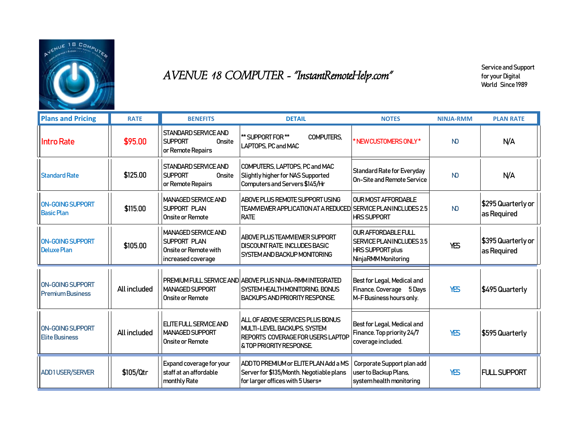

## AVENUE 18 COMPUTER - "InstantRemoteHelp.com"

Service and Support for your Digital World Since 1989

| <b>Plans and Pricing</b>                           | <b>RATE</b>  | <b>BENEFITS</b>                                                                                  | <b>DETAIL</b>                                                                                                                                     | <b>NOTES</b>                                                                                              | <b>NINJA-RMM</b> | <b>PLAN RATE</b>                  |
|----------------------------------------------------|--------------|--------------------------------------------------------------------------------------------------|---------------------------------------------------------------------------------------------------------------------------------------------------|-----------------------------------------------------------------------------------------------------------|------------------|-----------------------------------|
| <b>Intro Rate</b>                                  | \$95.00      | STANDARD SERVICE AND<br><b>SUPPORT</b><br>Onsite<br>or Remote Repairs                            | ** SUPPORT FOR **<br><b>COMPUTERS.</b><br>LAPTOPS, PC and MAC                                                                                     | *NEW CUSTOMERS ONLY*                                                                                      | <b>ND</b>        | N/A                               |
| <b>Standard Rate</b>                               | \$125.00     | <b>STANDARD SERVICE AND</b><br><b>SUPPORT</b><br>Onsite<br>or Remote Repairs                     | COMPUTERS, LAPTOPS, PC and MAC<br>Slightly higher for NAS Supported<br>Computers and Servers \$145/Hr                                             | <b>Standard Rate for Everyday</b><br>On-Site and Remote Service                                           | <b>ND</b>        | N/A                               |
| ON-GOING SUPPORT<br><b>Basic Plan</b>              | \$115.00     | <b>MANAGED SERVICE AND</b><br>SUPPORT PLAN<br>Onsite or Remote                                   | ABOVE PLUS REMOTE SUPPORT USING<br>TEAMVIEWER APPLICATION AT A REDUCED SERVICE PLAN INCLUDES 2.5<br><b>RATE</b>                                   | <b>OUR MOST AFFORDABLE</b><br><b>HRS SUPPORT</b>                                                          | <b>ND</b>        | \$295 Quarterly or<br>as Required |
| <b>ON-GOING SUPPORT</b><br>Deluxe Plan             | \$105.00     | <b>MANAGED SERVICE AND</b><br><b>SUPPORT PLAN</b><br>Onsite or Remote with<br>increased coverage | <b>ABOVE PLUS TEAMVIEWER SUPPORT</b><br><b>DISCOUNT RATE INCLUDES BASIC</b><br>SYSTEM AND BACKUP MONITORING                                       | <b>OUR AFFORDABLE FULL</b><br>SERVICE PLAN INCLUDES 3.5<br><b>HRS SUPPORT plus</b><br>NinjaRMM Monitoring | YES              | \$395 Quarterly or<br>as Required |
| <b>ON-GOING SUPPORT</b><br><b>Premium Business</b> | All included | MANAGED SUPPORT<br>Onsite or Remote                                                              | PREMIUM FULL SERVICE AND ABOVE PLUS NINJA-RMM INTEGRATED<br>SYSTEM HEALTH MONITORING. BONUS<br><b>BACKUPS AND PRIORITY RESPONSE</b>               | Best for Legal, Medical and<br>Finance. Coverage 5 Days<br>M-F Business hours only.                       | YES              | \$495 Quarterly                   |
| ON-GOING SUPPORT<br><b>Elite Business</b>          | All included | <b>ELITE FULL SERVICE AND</b><br><b>MANAGED SUPPORT</b><br>Onsite or Remote                      | ALL OF ABOVE SERVICES PLUS BONUS<br>MULTI-LEVEL BACKUPS, SYSTEM<br><b>REPORTS COVERAGE FOR USERS LAPTOP</b><br><b>&amp; TOP PRIORITY RESPONSE</b> | Best for Legal, Medical and<br>Finance. Top priority 24/7<br>coverage included.                           | YES              | \$595 Quarterly                   |
| <b>ADD1USER/SERVER</b>                             | \$105/Qtr    | Expand coverage for your<br>staff at an affordable<br>monthly Rate                               | ADD TO PREMIUM or ELITE PLAN Add a MS<br>Server for \$135/Month. Negotiable plans<br>for larger offices with 5 Users+                             | Corporate Support plan add<br>user to Backup Plans,<br>system health monitoring                           | YES              | <b>FULL SUPPORT</b>               |